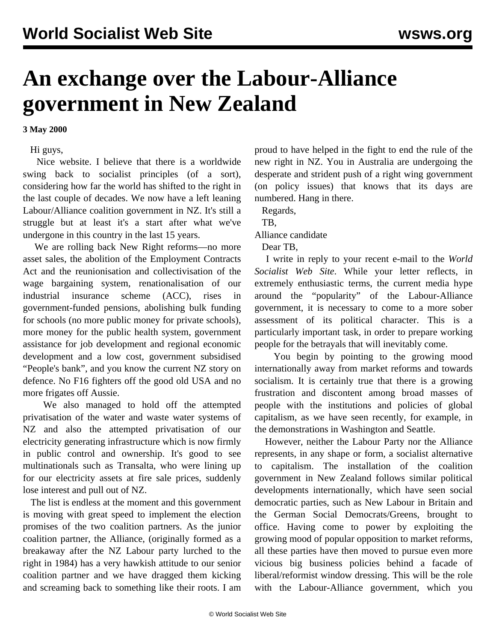## **An exchange over the Labour-Alliance government in New Zealand**

## **3 May 2000**

Hi guys,

 Nice website. I believe that there is a worldwide swing back to socialist principles (of a sort), considering how far the world has shifted to the right in the last couple of decades. We now have a left leaning Labour/Alliance coalition government in NZ. It's still a struggle but at least it's a start after what we've undergone in this country in the last 15 years.

 We are rolling back New Right reforms—no more asset sales, the abolition of the Employment Contracts Act and the reunionisation and collectivisation of the wage bargaining system, renationalisation of our industrial insurance scheme (ACC), rises in government-funded pensions, abolishing bulk funding for schools (no more public money for private schools), more money for the public health system, government assistance for job development and regional economic development and a low cost, government subsidised "People's bank", and you know the current NZ story on defence. No F16 fighters off the good old USA and no more frigates off Aussie.

 We also managed to hold off the attempted privatisation of the water and waste water systems of NZ and also the attempted privatisation of our electricity generating infrastructure which is now firmly in public control and ownership. It's good to see multinationals such as Transalta, who were lining up for our electricity assets at fire sale prices, suddenly lose interest and pull out of NZ.

 The list is endless at the moment and this government is moving with great speed to implement the election promises of the two coalition partners. As the junior coalition partner, the Alliance, (originally formed as a breakaway after the NZ Labour party lurched to the right in 1984) has a very hawkish attitude to our senior coalition partner and we have dragged them kicking and screaming back to something like their roots. I am

proud to have helped in the fight to end the rule of the new right in NZ. You in Australia are undergoing the desperate and strident push of a right wing government (on policy issues) that knows that its days are numbered. Hang in there.

Regards,

TB,

Alliance candidate

Dear TB,

 I write in reply to your recent e-mail to the *World Socialist Web Site*. While your letter reflects, in extremely enthusiastic terms, the current media hype around the "popularity" of the Labour-Alliance government, it is necessary to come to a more sober assessment of its political character. This is a particularly important task, in order to prepare working people for the betrayals that will inevitably come.

 You begin by pointing to the growing mood internationally away from market reforms and towards socialism. It is certainly true that there is a growing frustration and discontent among broad masses of people with the institutions and policies of global capitalism, as we have seen recently, for example, in the demonstrations in Washington and Seattle.

 However, neither the Labour Party nor the Alliance represents, in any shape or form, a socialist alternative to capitalism. The installation of the coalition government in New Zealand follows similar political developments internationally, which have seen social democratic parties, such as New Labour in Britain and the German Social Democrats/Greens, brought to office. Having come to power by exploiting the growing mood of popular opposition to market reforms, all these parties have then moved to pursue even more vicious big business policies behind a facade of liberal/reformist window dressing. This will be the role with the Labour-Alliance government, which you